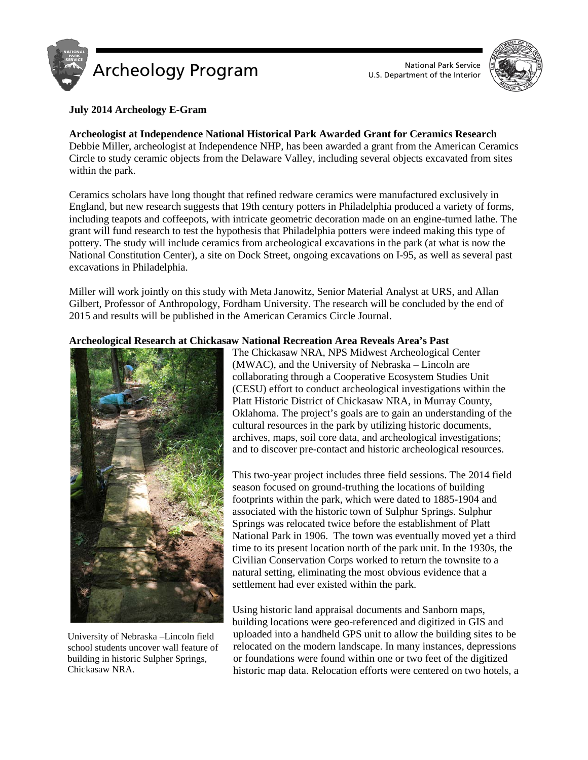



# **July 2014 Archeology E-Gram**

# **Archeologist at Independence National Historical Park Awarded Grant for Ceramics Research** Debbie Miller, archeologist at Independence NHP, has been awarded a grant from the American Ceramics Circle to study ceramic objects from the Delaware Valley, including several objects excavated from sites within the park.

Ceramics scholars have long thought that refined redware ceramics were manufactured exclusively in England, but new research suggests that 19th century potters in Philadelphia produced a variety of forms, including teapots and coffeepots, with intricate geometric decoration made on an engine-turned lathe. The grant will fund research to test the hypothesis that Philadelphia potters were indeed making this type of pottery. The study will include ceramics from archeological excavations in the park (at what is now the National Constitution Center), a site on Dock Street, ongoing excavations on I-95, as well as several past excavations in Philadelphia.

Miller will work jointly on this study with Meta Janowitz, Senior Material Analyst at URS, and Allan Gilbert, Professor of Anthropology, Fordham University. The research will be concluded by the end of 2015 and results will be published in the American Ceramics Circle Journal.

# **Archeological Research at Chickasaw National Recreation Area Reveals Area's Past**



University of Nebraska –Lincoln field school students uncover wall feature of building in historic Sulpher Springs, Chickasaw NRA.

The Chickasaw NRA, NPS Midwest Archeological Center (MWAC), and the University of Nebraska – Lincoln are collaborating through a Cooperative Ecosystem Studies Unit (CESU) effort to conduct archeological investigations within the Platt Historic District of Chickasaw NRA, in Murray County, Oklahoma. The project's goals are to gain an understanding of the cultural resources in the park by utilizing historic documents, archives, maps, soil core data, and archeological investigations; and to discover pre-contact and historic archeological resources.

This two-year project includes three field sessions. The 2014 field season focused on ground-truthing the locations of building footprints within the park, which were dated to 1885-1904 and associated with the historic town of Sulphur Springs. Sulphur Springs was relocated twice before the establishment of Platt National Park in 1906. The town was eventually moved yet a third time to its present location north of the park unit. In the 1930s, the Civilian Conservation Corps worked to return the townsite to a natural setting, eliminating the most obvious evidence that a settlement had ever existed within the park.

Using historic land appraisal documents and Sanborn maps, building locations were geo-referenced and digitized in GIS and uploaded into a handheld GPS unit to allow the building sites to be relocated on the modern landscape. In many instances, depressions or foundations were found within one or two feet of the digitized historic map data. Relocation efforts were centered on two hotels, a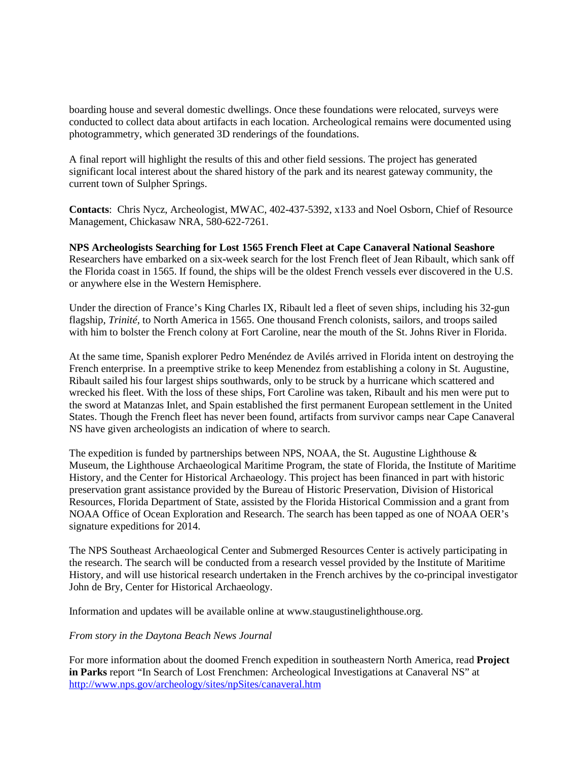boarding house and several domestic dwellings. Once these foundations were relocated, surveys were conducted to collect data about artifacts in each location. Archeological remains were documented using photogrammetry, which generated 3D renderings of the foundations.

A final report will highlight the results of this and other field sessions. The project has generated significant local interest about the shared history of the park and its nearest gateway community, the current town of Sulpher Springs.

**Contacts**: Chris Nycz, Archeologist, MWAC, 402-437-5392, x133 and Noel Osborn, Chief of Resource Management, Chickasaw NRA, 580-622-7261.

**NPS Archeologists Searching for Lost 1565 French Fleet at Cape Canaveral National Seashore** Researchers have embarked on a six-week search for the lost French fleet of Jean Ribault, which sank off the Florida coast in 1565. If found, the ships will be the oldest French vessels ever discovered in the U.S. or anywhere else in the Western Hemisphere.

Under the direction of France's King Charles IX, Ribault led a fleet of seven ships, including his 32-gun flagship, *Trinité*, to North America in 1565. One thousand French colonists, sailors, and troops sailed with him to bolster the French colony at Fort Caroline, near the mouth of the St. Johns River in Florida.

At the same time, Spanish explorer Pedro Menéndez de Avilés arrived in Florida intent on destroying the French enterprise. In a preemptive strike to keep Menendez from establishing a colony in St. Augustine, Ribault sailed his four largest ships southwards, only to be struck by a hurricane which scattered and wrecked his fleet. With the loss of these ships, Fort Caroline was taken, Ribault and his men were put to the sword at Matanzas Inlet, and Spain established the first permanent European settlement in the United States. Though the French fleet has never been found, artifacts from survivor camps near Cape Canaveral NS have given archeologists an indication of where to search.

The expedition is funded by partnerships between NPS, NOAA, the St. Augustine Lighthouse  $\&$ Museum, the Lighthouse Archaeological Maritime Program, the state of Florida, the Institute of Maritime History, and the Center for Historical Archaeology. This project has been financed in part with historic preservation grant assistance provided by the Bureau of Historic Preservation, Division of Historical Resources, Florida Department of State, assisted by the Florida Historical Commission and a grant from NOAA Office of Ocean Exploration and Research. The search has been tapped as one of NOAA OER's signature expeditions for 2014.

The NPS Southeast Archaeological Center and Submerged Resources Center is actively participating in the research. The search will be conducted from a research vessel provided by the Institute of Maritime History, and will use historical research undertaken in the French archives by the co-principal investigator John de Bry, Center for Historical Archaeology.

Information and updates will be available online at www.staugustinelighthouse.org.

#### *From story in the Daytona Beach News Journal*

For more information about the doomed French expedition in southeastern North America, read **Project in Parks** report "In Search of Lost Frenchmen: Archeological Investigations at Canaveral NS" at <http://www.nps.gov/archeology/sites/npSites/canaveral.htm>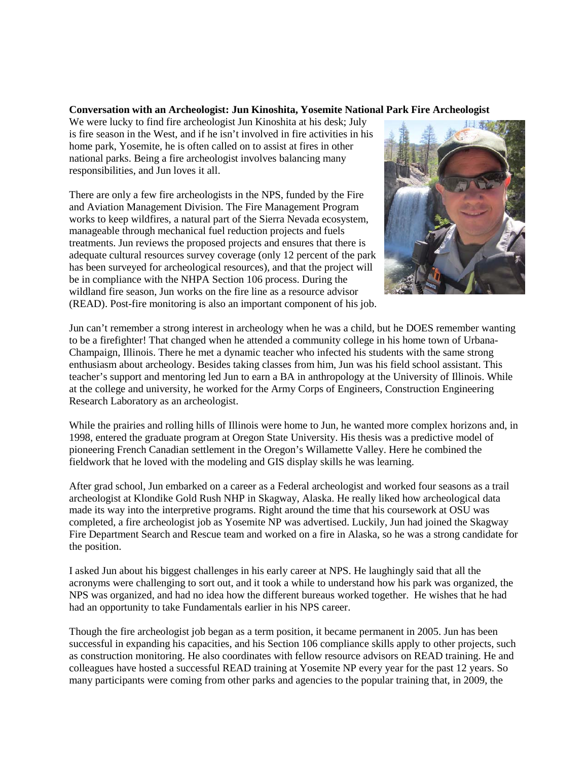### **Conversation with an Archeologist: Jun Kinoshita, Yosemite National Park Fire Archeologist**

We were lucky to find fire archeologist Jun Kinoshita at his desk; July is fire season in the West, and if he isn't involved in fire activities in his home park, Yosemite, he is often called on to assist at fires in other national parks. Being a fire archeologist involves balancing many responsibilities, and Jun loves it all.

There are only a few fire archeologists in the NPS, funded by the Fire and Aviation Management Division. The Fire Management Program works to keep wildfires, a natural part of the Sierra Nevada ecosystem, manageable through mechanical fuel reduction projects and fuels treatments. Jun reviews the proposed projects and ensures that there is adequate cultural resources survey coverage (only 12 percent of the park has been surveyed for archeological resources), and that the project will be in compliance with the NHPA Section 106 process. During the wildland fire season, Jun works on the fire line as a resource advisor (READ). Post-fire monitoring is also an important component of his job.



Jun can't remember a strong interest in archeology when he was a child, but he DOES remember wanting to be a firefighter! That changed when he attended a community college in his home town of Urbana-Champaign, Illinois. There he met a dynamic teacher who infected his students with the same strong enthusiasm about archeology. Besides taking classes from him, Jun was his field school assistant. This teacher's support and mentoring led Jun to earn a BA in anthropology at the University of Illinois. While at the college and university, he worked for the Army Corps of Engineers, Construction Engineering Research Laboratory as an archeologist.

While the prairies and rolling hills of Illinois were home to Jun, he wanted more complex horizons and, in 1998, entered the graduate program at Oregon State University. His thesis was a predictive model of pioneering French Canadian settlement in the Oregon's Willamette Valley. Here he combined the fieldwork that he loved with the modeling and GIS display skills he was learning.

After grad school, Jun embarked on a career as a Federal archeologist and worked four seasons as a trail archeologist at Klondike Gold Rush NHP in Skagway, Alaska. He really liked how archeological data made its way into the interpretive programs. Right around the time that his coursework at OSU was completed, a fire archeologist job as Yosemite NP was advertised. Luckily, Jun had joined the Skagway Fire Department Search and Rescue team and worked on a fire in Alaska, so he was a strong candidate for the position.

I asked Jun about his biggest challenges in his early career at NPS. He laughingly said that all the acronyms were challenging to sort out, and it took a while to understand how his park was organized, the NPS was organized, and had no idea how the different bureaus worked together. He wishes that he had had an opportunity to take Fundamentals earlier in his NPS career.

Though the fire archeologist job began as a term position, it became permanent in 2005. Jun has been successful in expanding his capacities, and his Section 106 compliance skills apply to other projects, such as construction monitoring. He also coordinates with fellow resource advisors on READ training. He and colleagues have hosted a successful READ training at Yosemite NP every year for the past 12 years. So many participants were coming from other parks and agencies to the popular training that, in 2009, the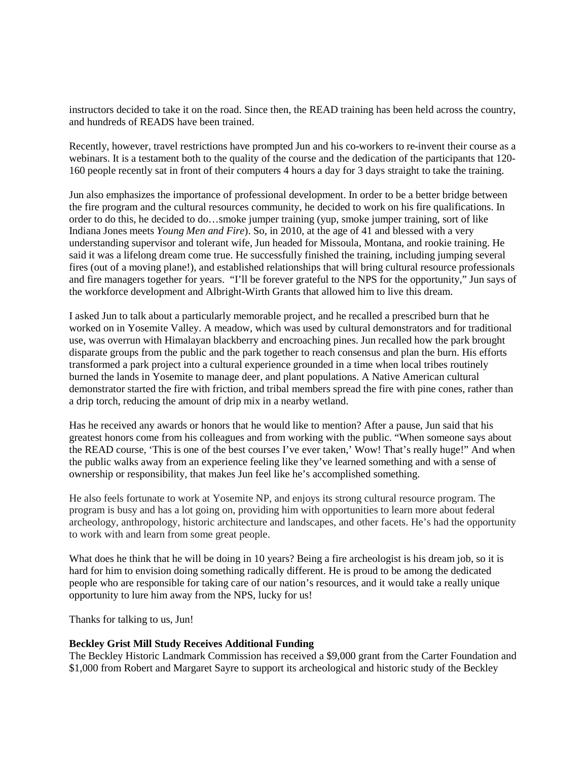instructors decided to take it on the road. Since then, the READ training has been held across the country, and hundreds of READS have been trained.

Recently, however, travel restrictions have prompted Jun and his co-workers to re-invent their course as a webinars. It is a testament both to the quality of the course and the dedication of the participants that 120- 160 people recently sat in front of their computers 4 hours a day for 3 days straight to take the training.

Jun also emphasizes the importance of professional development. In order to be a better bridge between the fire program and the cultural resources community, he decided to work on his fire qualifications. In order to do this, he decided to do…smoke jumper training (yup, smoke jumper training, sort of like Indiana Jones meets *Young Men and Fire*). So, in 2010, at the age of 41 and blessed with a very understanding supervisor and tolerant wife, Jun headed for Missoula, Montana, and rookie training. He said it was a lifelong dream come true. He successfully finished the training, including jumping several fires (out of a moving plane!), and established relationships that will bring cultural resource professionals and fire managers together for years. "I'll be forever grateful to the NPS for the opportunity," Jun says of the workforce development and Albright-Wirth Grants that allowed him to live this dream.

I asked Jun to talk about a particularly memorable project, and he recalled a prescribed burn that he worked on in Yosemite Valley. A meadow, which was used by cultural demonstrators and for traditional use, was overrun with Himalayan blackberry and encroaching pines. Jun recalled how the park brought disparate groups from the public and the park together to reach consensus and plan the burn. His efforts transformed a park project into a cultural experience grounded in a time when local tribes routinely burned the lands in Yosemite to manage deer, and plant populations. A Native American cultural demonstrator started the fire with friction, and tribal members spread the fire with pine cones, rather than a drip torch, reducing the amount of drip mix in a nearby wetland.

Has he received any awards or honors that he would like to mention? After a pause, Jun said that his greatest honors come from his colleagues and from working with the public. "When someone says about the READ course, 'This is one of the best courses I've ever taken,' Wow! That's really huge!" And when the public walks away from an experience feeling like they've learned something and with a sense of ownership or responsibility, that makes Jun feel like he's accomplished something.

He also feels fortunate to work at Yosemite NP, and enjoys its strong cultural resource program. The program is busy and has a lot going on, providing him with opportunities to learn more about federal archeology, anthropology, historic architecture and landscapes, and other facets. He's had the opportunity to work with and learn from some great people.

What does he think that he will be doing in 10 years? Being a fire archeologist is his dream job, so it is hard for him to envision doing something radically different. He is proud to be among the dedicated people who are responsible for taking care of our nation's resources, and it would take a really unique opportunity to lure him away from the NPS, lucky for us!

Thanks for talking to us, Jun!

#### **Beckley Grist Mill Study Receives Additional Funding**

The Beckley Historic Landmark Commission has received a \$9,000 grant from the Carter Foundation and \$1,000 from Robert and Margaret Sayre to support its archeological and historic study of the Beckley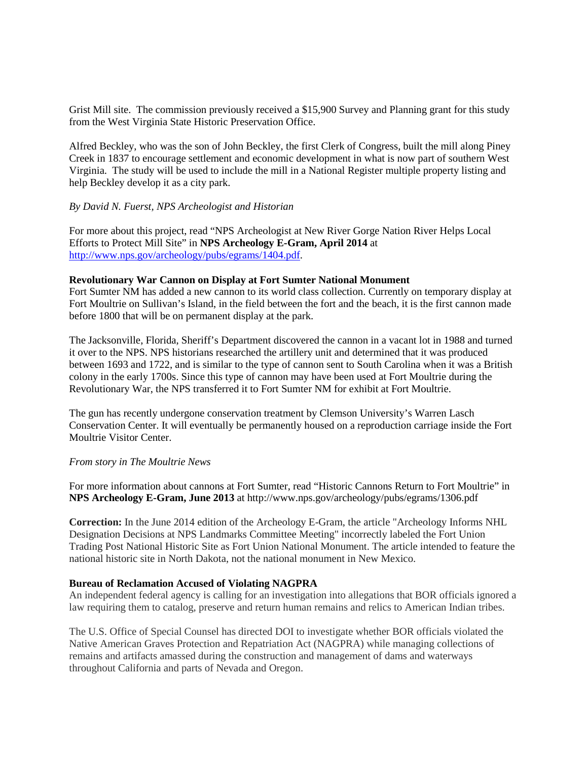Grist Mill site. The commission previously received a \$15,900 Survey and Planning grant for this study from the West Virginia State Historic Preservation Office.

Alfred Beckley, who was the son of John Beckley, the first Clerk of Congress, built the mill along Piney Creek in 1837 to encourage settlement and economic development in what is now part of southern West Virginia. The study will be used to include the mill in a National Register multiple property listing and help Beckley develop it as a city park.

## *By David N. Fuerst, NPS Archeologist and Historian*

For more about this project, read "NPS Archeologist at New River Gorge Nation River Helps Local Efforts to Protect Mill Site" in **NPS Archeology E-Gram, April 2014** at [http://www.nps.gov/archeology/pubs/egrams/1404.pdf.](http://www.nps.gov/archeology/pubs/egrams/1404.pdf)

### **Revolutionary War Cannon on Display at Fort Sumter National Monument**

Fort Sumter NM has added a new cannon to its world class collection. Currently on temporary display at Fort Moultrie on Sullivan's Island, in the field between the fort and the beach, it is the first cannon made before 1800 that will be on permanent display at the park.

The Jacksonville, Florida, Sheriff's Department discovered the cannon in a vacant lot in 1988 and turned it over to the NPS. NPS historians researched the artillery unit and determined that it was produced between 1693 and 1722, and is similar to the type of cannon sent to South Carolina when it was a British colony in the early 1700s. Since this type of cannon may have been used at Fort Moultrie during the Revolutionary War, the NPS transferred it to Fort Sumter NM for exhibit at Fort Moultrie.

The gun has recently undergone conservation treatment by Clemson University's Warren Lasch Conservation Center. It will eventually be permanently housed on a reproduction carriage inside the Fort Moultrie Visitor Center.

#### *From story in The Moultrie News*

For more information about cannons at Fort Sumter, read "Historic Cannons Return to Fort Moultrie" in **NPS Archeology E-Gram, June 2013** at http://www.nps.gov/archeology/pubs/egrams/1306.pdf

**Correction:** In the June 2014 edition of the Archeology E-Gram, the article "Archeology Informs NHL Designation Decisions at NPS Landmarks Committee Meeting" incorrectly labeled the Fort Union Trading Post National Historic Site as Fort Union National Monument. The article intended to feature the national historic site in North Dakota, not the national monument in New Mexico.

#### **Bureau of Reclamation Accused of Violating NAGPRA**

An independent federal agency is calling for an investigation into allegations that BOR officials ignored a law requiring them to catalog, preserve and return human remains and relics to American Indian tribes.

The U.S. Office of Special Counsel has directed DOI to investigate whether BOR officials violated the Native American Graves Protection and Repatriation Act (NAGPRA) while managing collections of remains and artifacts amassed during the construction and management of dams and waterways throughout California and parts of Nevada and Oregon.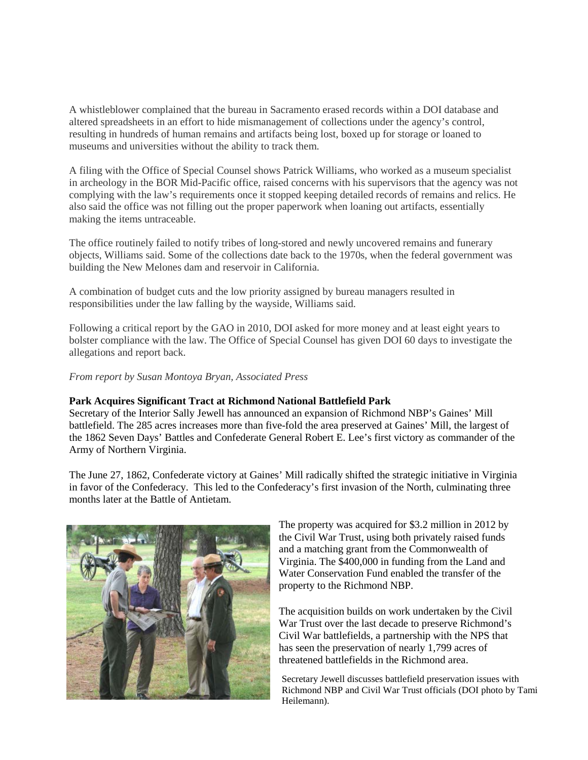A whistleblower complained that the bureau in Sacramento erased records within a DOI database and altered spreadsheets in an effort to hide mismanagement of collections under the agency's control, resulting in hundreds of human remains and artifacts being lost, boxed up for storage or loaned to museums and universities without the ability to track them.

A filing with the Office of Special Counsel shows Patrick Williams, who worked as a museum specialist in archeology in the BOR Mid-Pacific office, raised concerns with his supervisors that the agency was not complying with the law's requirements once it stopped keeping detailed records of remains and relics. He also said the office was not filling out the proper paperwork when loaning out artifacts, essentially making the items untraceable.

The office routinely failed to notify tribes of long-stored and newly uncovered remains and funerary objects, Williams said. Some of the collections date back to the 1970s, when the federal government was building the New Melones dam and reservoir in California.

A combination of budget cuts and the low priority assigned by bureau managers resulted in responsibilities under the law falling by the wayside, Williams said.

Following a critical report by the GAO in 2010, DOI asked for more money and at least eight years to bolster compliance with the law. The Office of Special Counsel has given DOI 60 days to investigate the allegations and report back.

#### *From report by Susan Montoya Bryan, Associated Press*

### **Park Acquires Significant Tract at Richmond National Battlefield Park**

Secretary of the Interior Sally Jewell has announced an expansion of Richmond NBP's Gaines' Mill battlefield. The 285 acres increases more than five-fold the area preserved at Gaines' Mill, the largest of the 1862 Seven Days' Battles and Confederate General Robert E. Lee's first victory as commander of the Army of Northern Virginia.

The June 27, 1862, Confederate victory at Gaines' Mill radically shifted the strategic initiative in Virginia in favor of the Confederacy. This led to the Confederacy's first invasion of the North, culminating three months later at the Battle of Antietam.



The property was acquired for \$3.2 million in 2012 by the Civil War Trust, using both privately raised funds and a matching grant from the Commonwealth of Virginia. The \$400,000 in funding from the Land and Water Conservation Fund enabled the transfer of the property to the Richmond NBP.

The acquisition builds on work undertaken by the Civil War Trust over the last decade to preserve Richmond's Civil War battlefields, a partnership with the NPS that has seen the preservation of nearly 1,799 acres of threatened battlefields in the Richmond area.

Secretary Jewell discusses battlefield preservation issues with Richmond NBP and Civil War Trust officials (DOI photo by Tami Heilemann).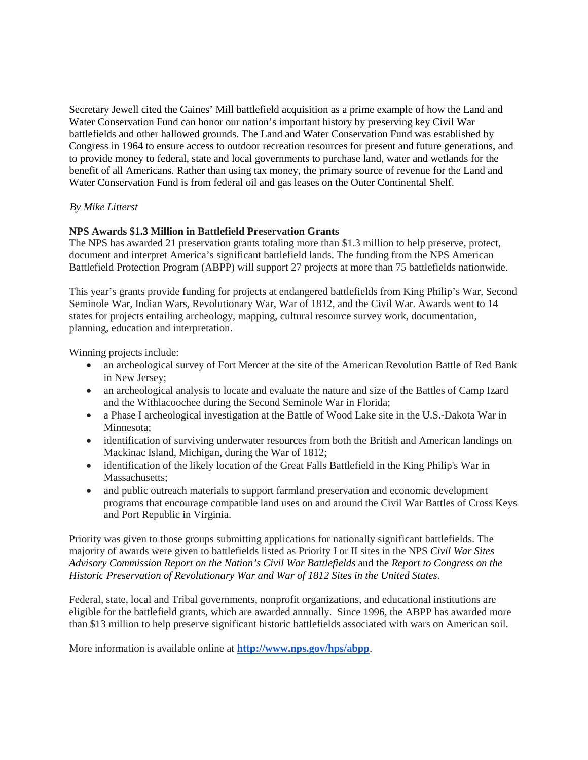Secretary Jewell cited the Gaines' Mill battlefield acquisition as a prime example of how the Land and Water Conservation Fund can honor our nation's important history by preserving key Civil War battlefields and other hallowed grounds. The Land and Water Conservation Fund was established by Congress in 1964 to ensure access to outdoor recreation resources for present and future generations, and to provide money to federal, state and local governments to purchase land, water and wetlands for the benefit of all Americans. Rather than using tax money, the primary source of revenue for the Land and Water Conservation Fund is from federal oil and gas leases on the Outer Continental Shelf.

# *By Mike Litterst*

# **NPS Awards \$1.3 Million in Battlefield Preservation Grants**

The NPS has awarded 21 preservation grants totaling more than \$1.3 million to help preserve, protect, document and interpret America's significant battlefield lands. The funding from the NPS American Battlefield Protection Program (ABPP) will support 27 projects at more than 75 battlefields nationwide.

This year's grants provide funding for projects at endangered battlefields from King Philip's War, Second Seminole War, Indian Wars, Revolutionary War, War of 1812, and the Civil War. Awards went to 14 states for projects entailing archeology, mapping, cultural resource survey work, documentation, planning, education and interpretation.

Winning projects include:

- an archeological survey of Fort Mercer at the site of the American Revolution Battle of Red Bank in New Jersey;
- an archeological analysis to locate and evaluate the nature and size of the Battles of Camp Izard and the Withlacoochee during the Second Seminole War in Florida;
- a Phase I archeological investigation at the Battle of Wood Lake site in the U.S.-Dakota War in Minnesota;
- identification of surviving underwater resources from both the British and American landings on Mackinac Island, Michigan, during the War of 1812;
- identification of the likely location of the Great Falls Battlefield in the King Philip's War in Massachusetts:
- and public outreach materials to support farmland preservation and economic development programs that encourage compatible land uses on and around the Civil War Battles of Cross Keys and Port Republic in Virginia.

Priority was given to those groups submitting applications for nationally significant battlefields. The majority of awards were given to battlefields listed as Priority I or II sites in the NPS *Civil War Sites Advisory Commission Report on the Nation's Civil War Battlefields* and the *Report to Congress on the Historic Preservation of Revolutionary War and War of 1812 Sites in the United States*.

Federal, state, local and Tribal governments, nonprofit organizations, and educational institutions are eligible for the battlefield grants, which are awarded annually. Since 1996, the ABPP has awarded more than \$13 million to help preserve significant historic battlefields associated with wars on American soil.

More information is available online at **<http://www.nps.gov/hps/abpp>**.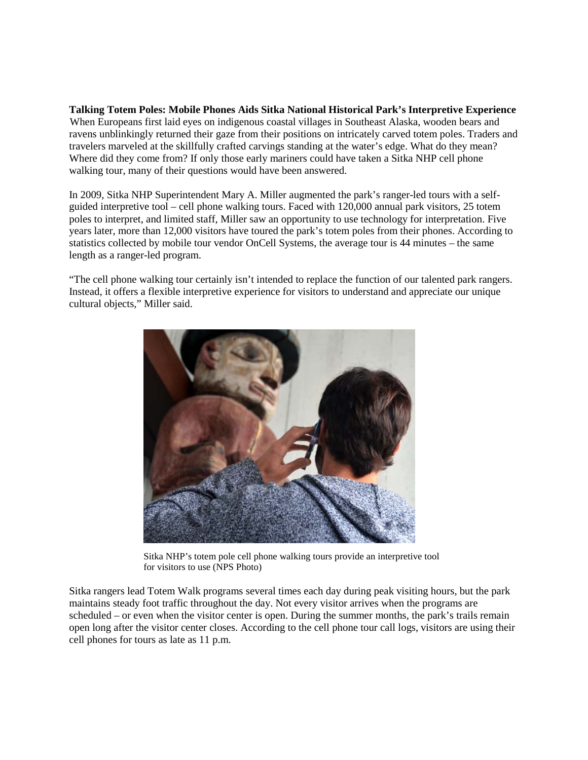**Talking Totem Poles: Mobile Phones Aids Sitka National Historical Park's Interpretive Experience** When Europeans first laid eyes on indigenous coastal villages in Southeast Alaska, wooden bears and ravens unblinkingly returned their gaze from their positions on intricately carved totem poles. Traders and travelers marveled at the skillfully crafted carvings standing at the water's edge. What do they mean? Where did they come from? If only those early mariners could have taken a Sitka NHP cell phone walking tour, many of their questions would have been answered.

In 2009, Sitka NHP Superintendent Mary A. Miller augmented the park's ranger-led tours with a selfguided interpretive tool – cell phone walking tours. Faced with 120,000 annual park visitors, 25 totem poles to interpret, and limited staff, Miller saw an opportunity to use technology for interpretation. Five years later, more than 12,000 visitors have toured the park's totem poles from their phones. According to statistics collected by mobile tour vendor OnCell Systems, the average tour is 44 minutes – the same length as a ranger-led program.

"The cell phone walking tour certainly isn't intended to replace the function of our talented park rangers. Instead, it offers a flexible interpretive experience for visitors to understand and appreciate our unique cultural objects," Miller said.



Sitka NHP's totem pole cell phone walking tours provide an interpretive tool for visitors to use (NPS Photo)

Sitka rangers lead Totem Walk programs several times each day during peak visiting hours, but the park maintains steady foot traffic throughout the day. Not every visitor arrives when the programs are scheduled – or even when the visitor center is open. During the summer months, the park's trails remain open long after the visitor center closes. According to the cell phone tour call logs, visitors are using their cell phones for tours as late as 11 p.m.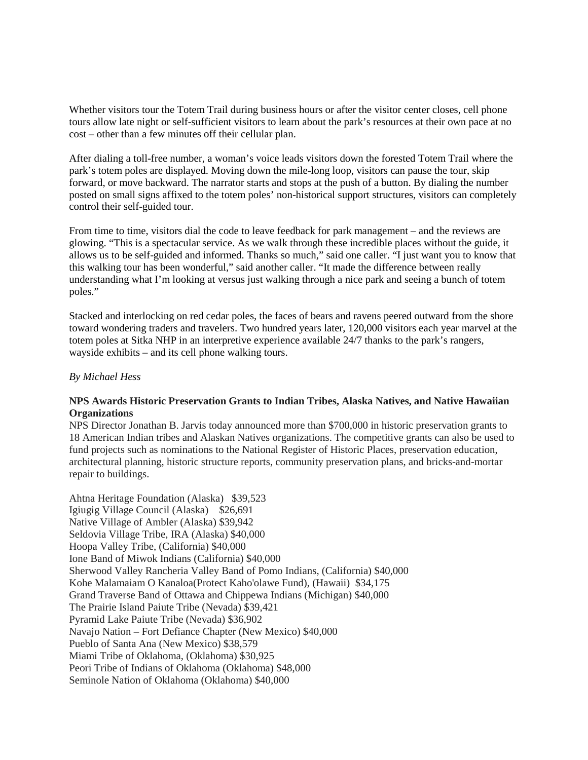Whether visitors tour the Totem Trail during business hours or after the visitor center closes, cell phone tours allow late night or self-sufficient visitors to learn about the park's resources at their own pace at no cost – other than a few minutes off their cellular plan.

After dialing a toll-free number, a woman's voice leads visitors down the forested Totem Trail where the park's totem poles are displayed. Moving down the mile-long loop, visitors can pause the tour, skip forward, or move backward. The narrator starts and stops at the push of a button. By dialing the number posted on small signs affixed to the totem poles' non-historical support structures, visitors can completely control their self-guided tour.

From time to time, visitors dial the code to leave feedback for park management – and the reviews are glowing. "This is a spectacular service. As we walk through these incredible places without the guide, it allows us to be self-guided and informed. Thanks so much," said one caller. "I just want you to know that this walking tour has been wonderful," said another caller. "It made the difference between really understanding what I'm looking at versus just walking through a nice park and seeing a bunch of totem poles."

Stacked and interlocking on red cedar poles, the faces of bears and ravens peered outward from the shore toward wondering traders and travelers. Two hundred years later, 120,000 visitors each year marvel at the totem poles at Sitka NHP in an interpretive experience available 24/7 thanks to the park's rangers, wayside exhibits – and its cell phone walking tours.

## *By Michael Hess*

# **NPS Awards Historic Preservation Grants to Indian Tribes, Alaska Natives, and Native Hawaiian Organizations**

NPS Director Jonathan B. Jarvis today announced more than \$700,000 in historic preservation grants to 18 American Indian tribes and Alaskan Natives organizations. The competitive grants can also be used to fund projects such as nominations to the National Register of Historic Places, preservation education, architectural planning, historic structure reports, community preservation plans, and bricks-and-mortar repair to buildings.

Ahtna Heritage Foundation (Alaska) \$39,523 Igiugig Village Council (Alaska) \$26,691 Native Village of Ambler (Alaska) \$39,942 Seldovia Village Tribe, IRA (Alaska) \$40,000 Hoopa Valley Tribe, (California) \$40,000 Ione Band of Miwok Indians (California) \$40,000 Sherwood Valley Rancheria Valley Band of Pomo Indians, (California) \$40,000 Kohe Malamaiam O Kanaloa(Protect Kaho'olawe Fund), (Hawaii) \$34,175 Grand Traverse Band of Ottawa and Chippewa Indians (Michigan) \$40,000 The Prairie Island Paiute Tribe (Nevada) \$39,421 Pyramid Lake Paiute Tribe (Nevada) \$36,902 Navajo Nation – Fort Defiance Chapter (New Mexico) \$40,000 Pueblo of Santa Ana (New Mexico) \$38,579 Miami Tribe of Oklahoma, (Oklahoma) \$30,925 Peori Tribe of Indians of Oklahoma (Oklahoma) \$48,000 Seminole Nation of Oklahoma (Oklahoma) \$40,000